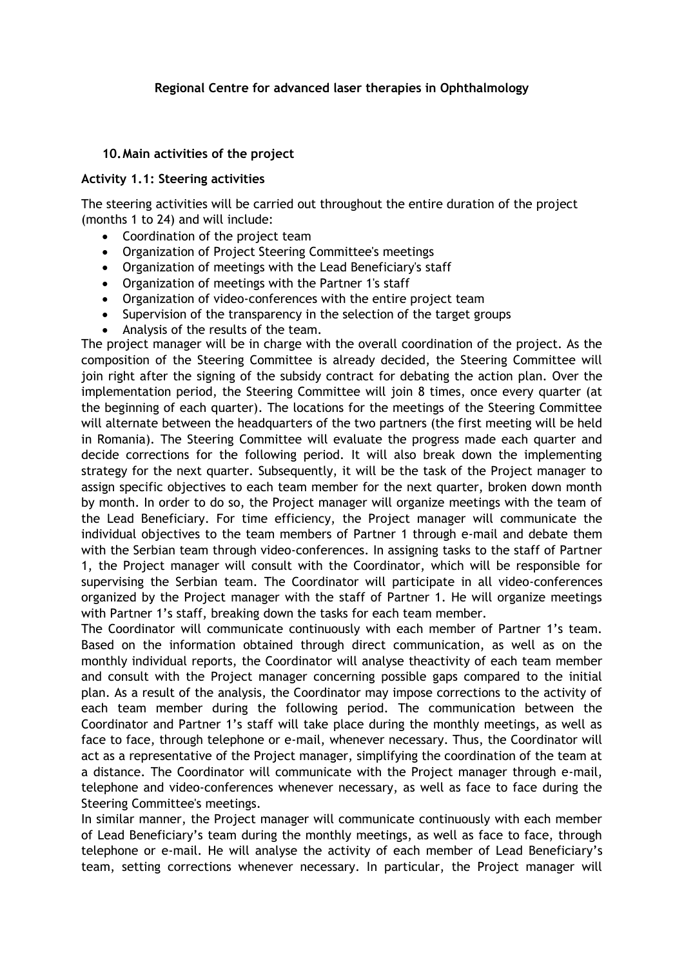#### **Regional Centre for advanced laser therapies in Ophthalmology**

#### **10.Main activities of the project**

#### **Activity 1.1: Steering activities**

The steering activities will be carried out throughout the entire duration of the project (months 1 to 24) and will include:

- Coordination of the project team
- Organization of Project Steering Committee's meetings
- Organization of meetings with the Lead Beneficiary's staff
- Organization of meetings with the Partner 1's staff
- Organization of video-conferences with the entire project team
- Supervision of the transparency in the selection of the target groups
- Analysis of the results of the team.

The project manager will be in charge with the overall coordination of the project. As the composition of the Steering Committee is already decided, the Steering Committee will join right after the signing of the subsidy contract for debating the action plan. Over the implementation period, the Steering Committee will join 8 times, once every quarter (at the beginning of each quarter). The locations for the meetings of the Steering Committee will alternate between the headquarters of the two partners (the first meeting will be held in Romania). The Steering Committee will evaluate the progress made each quarter and decide corrections for the following period. It will also break down the implementing strategy for the next quarter. Subsequently, it will be the task of the Project manager to assign specific objectives to each team member for the next quarter, broken down month by month. In order to do so, the Project manager will organize meetings with the team of the Lead Beneficiary. For time efficiency, the Project manager will communicate the individual objectives to the team members of Partner 1 through e-mail and debate them with the Serbian team through video-conferences. In assigning tasks to the staff of Partner 1, the Project manager will consult with the Coordinator, which will be responsible for supervising the Serbian team. The Coordinator will participate in all video-conferences organized by the Project manager with the staff of Partner 1. He will organize meetings with Partner 1's staff, breaking down the tasks for each team member.

The Coordinator will communicate continuously with each member of Partner 1's team. Based on the information obtained through direct communication, as well as on the monthly individual reports, the Coordinator will analyse theactivity of each team member and consult with the Project manager concerning possible gaps compared to the initial plan. As a result of the analysis, the Coordinator may impose corrections to the activity of each team member during the following period. The communication between the Coordinator and Partner 1's staff will take place during the monthly meetings, as well as face to face, through telephone or e-mail, whenever necessary. Thus, the Coordinator will act as a representative of the Project manager, simplifying the coordination of the team at a distance. The Coordinator will communicate with the Project manager through e-mail, telephone and video-conferences whenever necessary, as well as face to face during the Steering Committee's meetings.

In similar manner, the Project manager will communicate continuously with each member of Lead Beneficiary's team during the monthly meetings, as well as face to face, through telephone or e-mail. He will analyse the activity of each member of Lead Beneficiary's team, setting corrections whenever necessary. In particular, the Project manager will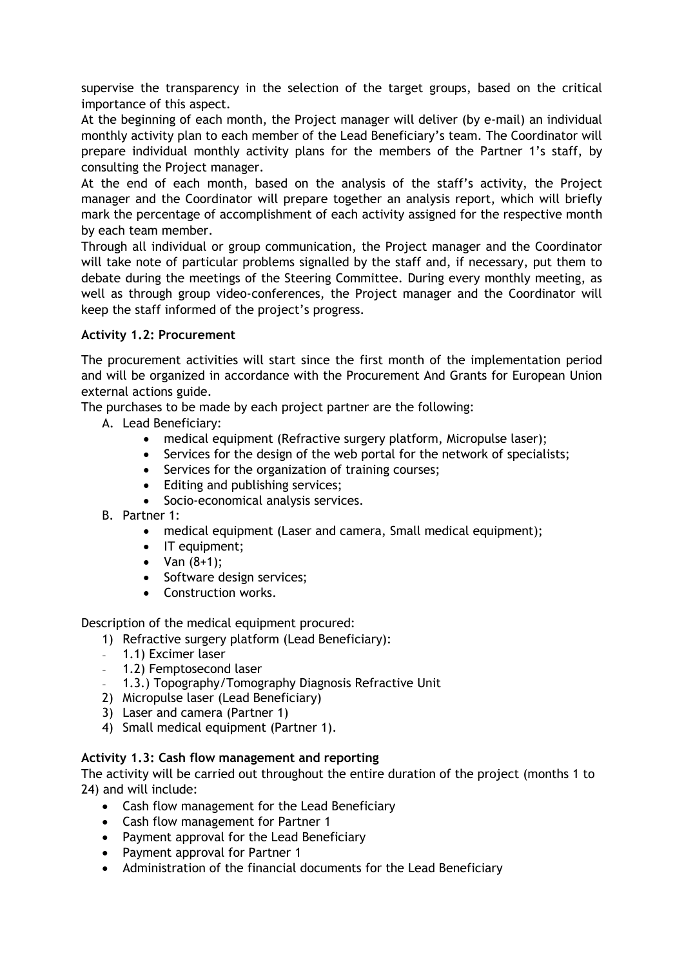supervise the transparency in the selection of the target groups, based on the critical importance of this aspect.

At the beginning of each month, the Project manager will deliver (by e-mail) an individual monthly activity plan to each member of the Lead Beneficiary's team. The Coordinator will prepare individual monthly activity plans for the members of the Partner 1's staff, by consulting the Project manager.

At the end of each month, based on the analysis of the staff's activity, the Project manager and the Coordinator will prepare together an analysis report, which will briefly mark the percentage of accomplishment of each activity assigned for the respective month by each team member.

Through all individual or group communication, the Project manager and the Coordinator will take note of particular problems signalled by the staff and, if necessary, put them to debate during the meetings of the Steering Committee. During every monthly meeting, as well as through group video-conferences, the Project manager and the Coordinator will keep the staff informed of the project's progress.

# **Activity 1.2: Procurement**

The procurement activities will start since the first month of the implementation period and will be organized in accordance with the Procurement And Grants for European Union external actions guide.

The purchases to be made by each project partner are the following:

- A. Lead Beneficiary:
	- medical equipment (Refractive surgery platform, Micropulse laser);
	- Services for the design of the web portal for the network of specialists;
	- Services for the organization of training courses;
	- Editing and publishing services;
	- Socio-economical analysis services.
- B. Partner 1:
	- medical equipment (Laser and camera, Small medical equipment);
	- IT equipment;
	- Van  $(8+1)$ ;
	- Software design services;
	- Construction works.

Description of the medical equipment procured:

- 1) Refractive surgery platform (Lead Beneficiary):
- 1.1) Excimer laser
- 1.2) Femptosecond laser
- 1.3.) Topography/Tomography Diagnosis Refractive Unit
- 2) Micropulse laser (Lead Beneficiary)
- 3) Laser and camera (Partner 1)
- 4) Small medical equipment (Partner 1).

#### **Activity 1.3: Cash flow management and reporting**

The activity will be carried out throughout the entire duration of the project (months 1 to 24) and will include:

- Cash flow management for the Lead Beneficiary
- Cash flow management for Partner 1
- Payment approval for the Lead Beneficiary
- Payment approval for Partner 1
- Administration of the financial documents for the Lead Beneficiary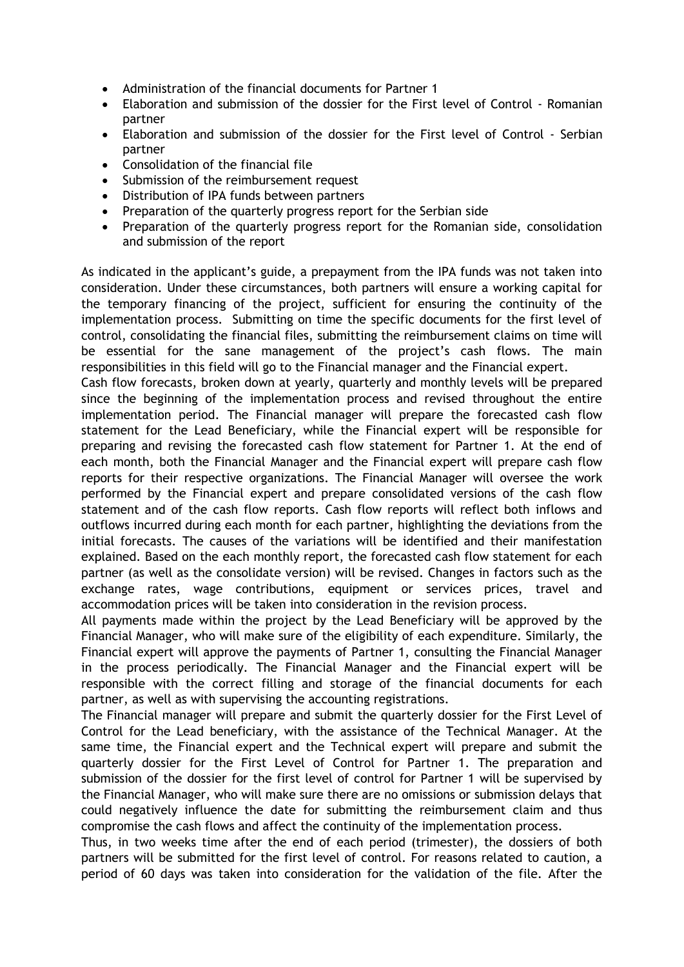- Administration of the financial documents for Partner 1
- Elaboration and submission of the dossier for the First level of Control Romanian partner
- Elaboration and submission of the dossier for the First level of Control Serbian partner
- Consolidation of the financial file
- Submission of the reimbursement request
- Distribution of IPA funds between partners
- Preparation of the quarterly progress report for the Serbian side
- Preparation of the quarterly progress report for the Romanian side, consolidation and submission of the report

As indicated in the applicant's guide, a prepayment from the IPA funds was not taken into consideration. Under these circumstances, both partners will ensure a working capital for the temporary financing of the project, sufficient for ensuring the continuity of the implementation process. Submitting on time the specific documents for the first level of control, consolidating the financial files, submitting the reimbursement claims on time will be essential for the sane management of the project's cash flows. The main responsibilities in this field will go to the Financial manager and the Financial expert.

Cash flow forecasts, broken down at yearly, quarterly and monthly levels will be prepared since the beginning of the implementation process and revised throughout the entire implementation period. The Financial manager will prepare the forecasted cash flow statement for the Lead Beneficiary, while the Financial expert will be responsible for preparing and revising the forecasted cash flow statement for Partner 1. At the end of each month, both the Financial Manager and the Financial expert will prepare cash flow reports for their respective organizations. The Financial Manager will oversee the work performed by the Financial expert and prepare consolidated versions of the cash flow statement and of the cash flow reports. Cash flow reports will reflect both inflows and outflows incurred during each month for each partner, highlighting the deviations from the initial forecasts. The causes of the variations will be identified and their manifestation explained. Based on the each monthly report, the forecasted cash flow statement for each partner (as well as the consolidate version) will be revised. Changes in factors such as the exchange rates, wage contributions, equipment or services prices, travel and accommodation prices will be taken into consideration in the revision process.

All payments made within the project by the Lead Beneficiary will be approved by the Financial Manager, who will make sure of the eligibility of each expenditure. Similarly, the Financial expert will approve the payments of Partner 1, consulting the Financial Manager in the process periodically. The Financial Manager and the Financial expert will be responsible with the correct filling and storage of the financial documents for each partner, as well as with supervising the accounting registrations.

The Financial manager will prepare and submit the quarterly dossier for the First Level of Control for the Lead beneficiary, with the assistance of the Technical Manager. At the same time, the Financial expert and the Technical expert will prepare and submit the quarterly dossier for the First Level of Control for Partner 1. The preparation and submission of the dossier for the first level of control for Partner 1 will be supervised by the Financial Manager, who will make sure there are no omissions or submission delays that could negatively influence the date for submitting the reimbursement claim and thus compromise the cash flows and affect the continuity of the implementation process.

Thus, in two weeks time after the end of each period (trimester), the dossiers of both partners will be submitted for the first level of control. For reasons related to caution, a period of 60 days was taken into consideration for the validation of the file. After the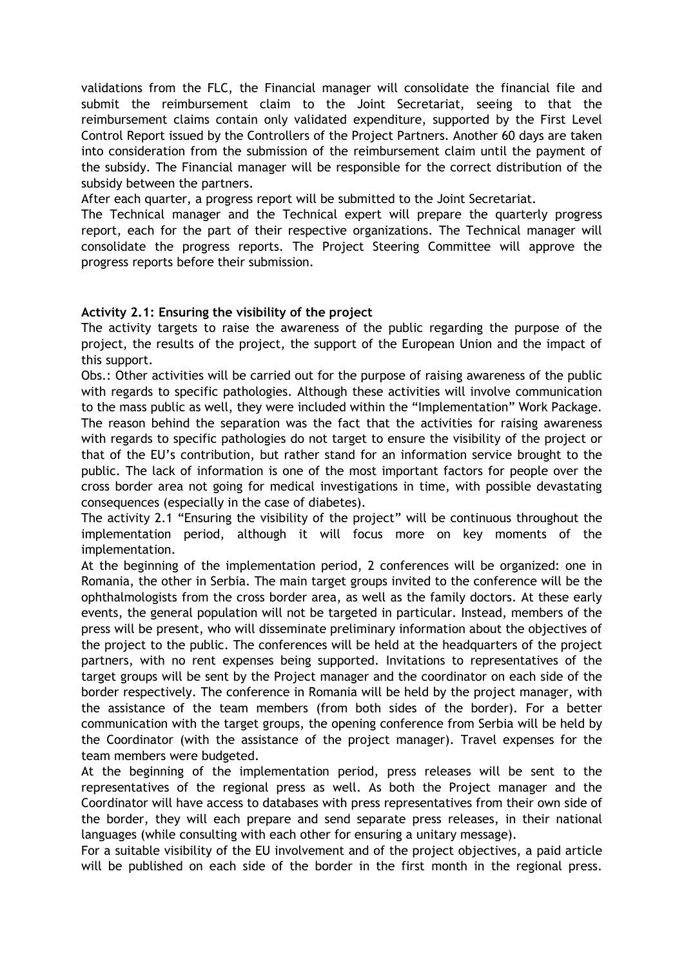validations from the FLC, the Financial manager will consolidate the financial file and submit the reimbursement claim to the Joint Secretariat, seeing to that the reimbursement claims contain only validated expenditure, supported by the First Level Control Report issued by the Controllers of the Project Partners. Another 60 days are taken into consideration from the submission of the reimbursement claim until the payment of the subsidy. The Financial manager will be responsible for the correct distribution of the subsidy between the partners.

After each quarter, a progress report will be submitted to the Joint Secretariat.

The Technical manager and the Technical expert will prepare the quarterly progress report, each for the part of their respective organizations. The Technical manager will consolidate the progress reports. The Project Steering Committee will approve the progress reports before their submission.

## **Activity 2.1: Ensuring the visibility of the project**

The activity targets to raise the awareness of the public regarding the purpose of the project, the results of the project, the support of the European Union and the impact of this support.

Obs.: Other activities will be carried out for the purpose of raising awareness of the public with regards to specific pathologies. Although these activities will involve communication to the mass public as well, they were included within the "Implementation" Work Package. The reason behind the separation was the fact that the activities for raising awareness with regards to specific pathologies do not target to ensure the visibility of the project or that of the EU's contribution, but rather stand for an information service brought to the public. The lack of information is one of the most important factors for people over the cross border area not going for medical investigations in time, with possible devastating consequences (especially in the case of diabetes).

The activity 2.1 "Ensuring the visibility of the project" will be continuous throughout the implementation period, although it will focus more on key moments of the implementation.

At the beginning of the implementation period, 2 conferences will be organized: one in Romania, the other in Serbia. The main target groups invited to the conference will be the ophthalmologists from the cross border area, as well as the family doctors. At these early events, the general population will not be targeted in particular. Instead, members of the press will be present, who will disseminate preliminary information about the objectives of the project to the public. The conferences will be held at the headquarters of the project partners, with no rent expenses being supported. Invitations to representatives of the target groups will be sent by the Project manager and the coordinator on each side of the border respectively. The conference in Romania will be held by the project manager, with the assistance of the team members (from both sides of the border). For a better communication with the target groups, the opening conference from Serbia will be held by the Coordinator (with the assistance of the project manager). Travel expenses for the team members were budgeted.

At the beginning of the implementation period, press releases will be sent to the representatives of the regional press as well. As both the Project manager and the Coordinator will have access to databases with press representatives from their own side of the border, they will each prepare and send separate press releases, in their national languages (while consulting with each other for ensuring a unitary message).

For a suitable visibility of the EU involvement and of the project objectives, a paid article will be published on each side of the border in the first month in the regional press.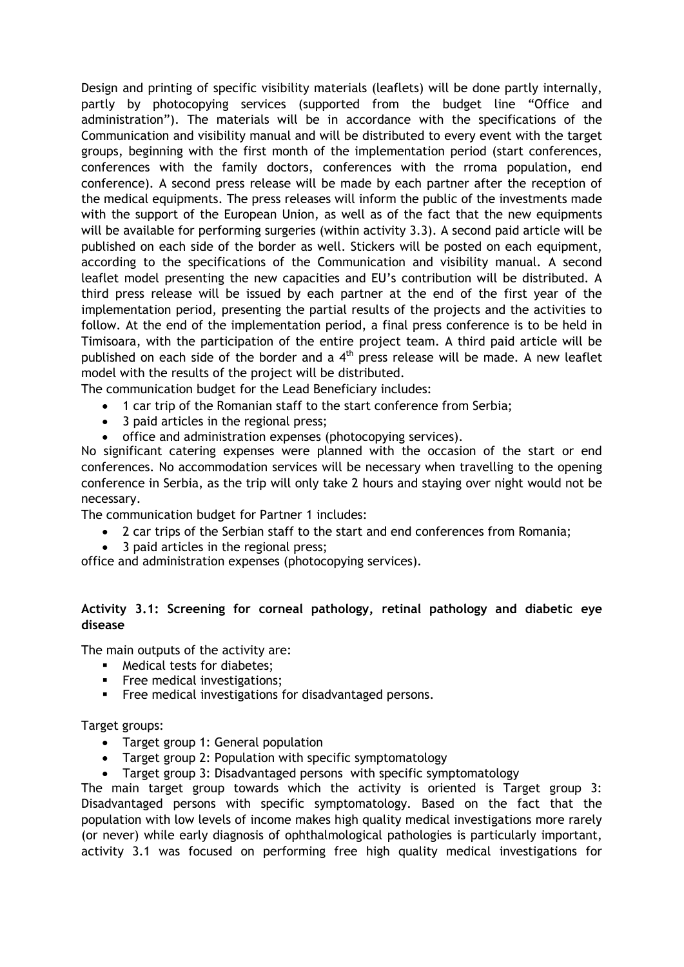Design and printing of specific visibility materials (leaflets) will be done partly internally, partly by photocopying services (supported from the budget line "Office and administration"). The materials will be in accordance with the specifications of the Communication and visibility manual and will be distributed to every event with the target groups, beginning with the first month of the implementation period (start conferences, conferences with the family doctors, conferences with the rroma population, end conference). A second press release will be made by each partner after the reception of the medical equipments. The press releases will inform the public of the investments made with the support of the European Union, as well as of the fact that the new equipments will be available for performing surgeries (within activity 3.3). A second paid article will be published on each side of the border as well. Stickers will be posted on each equipment, according to the specifications of the Communication and visibility manual. A second leaflet model presenting the new capacities and EU's contribution will be distributed. A third press release will be issued by each partner at the end of the first year of the implementation period, presenting the partial results of the projects and the activities to follow. At the end of the implementation period, a final press conference is to be held in Timisoara, with the participation of the entire project team. A third paid article will be published on each side of the border and a  $4<sup>th</sup>$  press release will be made. A new leaflet model with the results of the project will be distributed.

The communication budget for the Lead Beneficiary includes:

- 1 car trip of the Romanian staff to the start conference from Serbia;
- 3 paid articles in the regional press;
- office and administration expenses (photocopying services).

No significant catering expenses were planned with the occasion of the start or end conferences. No accommodation services will be necessary when travelling to the opening conference in Serbia, as the trip will only take 2 hours and staying over night would not be necessary.

The communication budget for Partner 1 includes:

- 2 car trips of the Serbian staff to the start and end conferences from Romania;
- 3 paid articles in the regional press;

office and administration expenses (photocopying services).

## **Activity 3.1: Screening for corneal pathology, retinal pathology and diabetic eye disease**

The main outputs of the activity are:

- Medical tests for diabetes;
- **Free medical investigations:**
- **Free medical investigations for disadvantaged persons.**

Target groups:

- Target group 1: General population
- Target group 2: Population with specific symptomatology
- Target group 3: Disadvantaged persons with specific symptomatology

The main target group towards which the activity is oriented is Target group 3: Disadvantaged persons with specific symptomatology. Based on the fact that the population with low levels of income makes high quality medical investigations more rarely (or never) while early diagnosis of ophthalmological pathologies is particularly important, activity 3.1 was focused on performing free high quality medical investigations for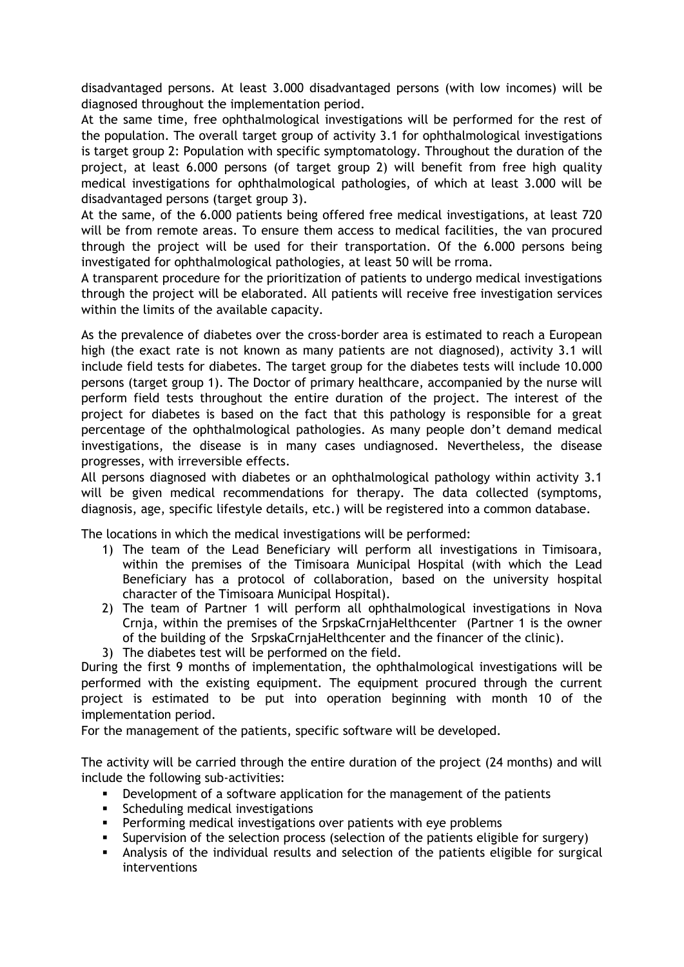disadvantaged persons. At least 3.000 disadvantaged persons (with low incomes) will be diagnosed throughout the implementation period.

At the same time, free ophthalmological investigations will be performed for the rest of the population. The overall target group of activity 3.1 for ophthalmological investigations is target group 2: Population with specific symptomatology. Throughout the duration of the project, at least 6.000 persons (of target group 2) will benefit from free high quality medical investigations for ophthalmological pathologies, of which at least 3.000 will be disadvantaged persons (target group 3).

At the same, of the 6.000 patients being offered free medical investigations, at least 720 will be from remote areas. To ensure them access to medical facilities, the van procured through the project will be used for their transportation. Of the 6.000 persons being investigated for ophthalmological pathologies, at least 50 will be rroma.

A transparent procedure for the prioritization of patients to undergo medical investigations through the project will be elaborated. All patients will receive free investigation services within the limits of the available capacity.

As the prevalence of diabetes over the cross-border area is estimated to reach a European high (the exact rate is not known as many patients are not diagnosed), activity 3.1 will include field tests for diabetes. The target group for the diabetes tests will include 10.000 persons (target group 1). The Doctor of primary healthcare, accompanied by the nurse will perform field tests throughout the entire duration of the project. The interest of the project for diabetes is based on the fact that this pathology is responsible for a great percentage of the ophthalmological pathologies. As many people don't demand medical investigations, the disease is in many cases undiagnosed. Nevertheless, the disease progresses, with irreversible effects.

All persons diagnosed with diabetes or an ophthalmological pathology within activity 3.1 will be given medical recommendations for therapy. The data collected (symptoms, diagnosis, age, specific lifestyle details, etc.) will be registered into a common database.

The locations in which the medical investigations will be performed:

- 1) The team of the Lead Beneficiary will perform all investigations in Timisoara, within the premises of the Timisoara Municipal Hospital (with which the Lead Beneficiary has a protocol of collaboration, based on the university hospital character of the Timisoara Municipal Hospital).
- 2) The team of Partner 1 will perform all ophthalmological investigations in Nova Crnja, within the premises of the SrpskaCrnjaHelthcenter (Partner 1 is the owner of the building of the SrpskaCrnjaHelthcenter and the financer of the clinic).
- 3) The diabetes test will be performed on the field.

During the first 9 months of implementation, the ophthalmological investigations will be performed with the existing equipment. The equipment procured through the current project is estimated to be put into operation beginning with month 10 of the implementation period.

For the management of the patients, specific software will be developed.

The activity will be carried through the entire duration of the project (24 months) and will include the following sub-activities:

- **•** Development of a software application for the management of the patients
- **Scheduling medical investigations**
- Performing medical investigations over patients with eye problems
- Supervision of the selection process (selection of the patients eligible for surgery)
- Analysis of the individual results and selection of the patients eligible for surgical interventions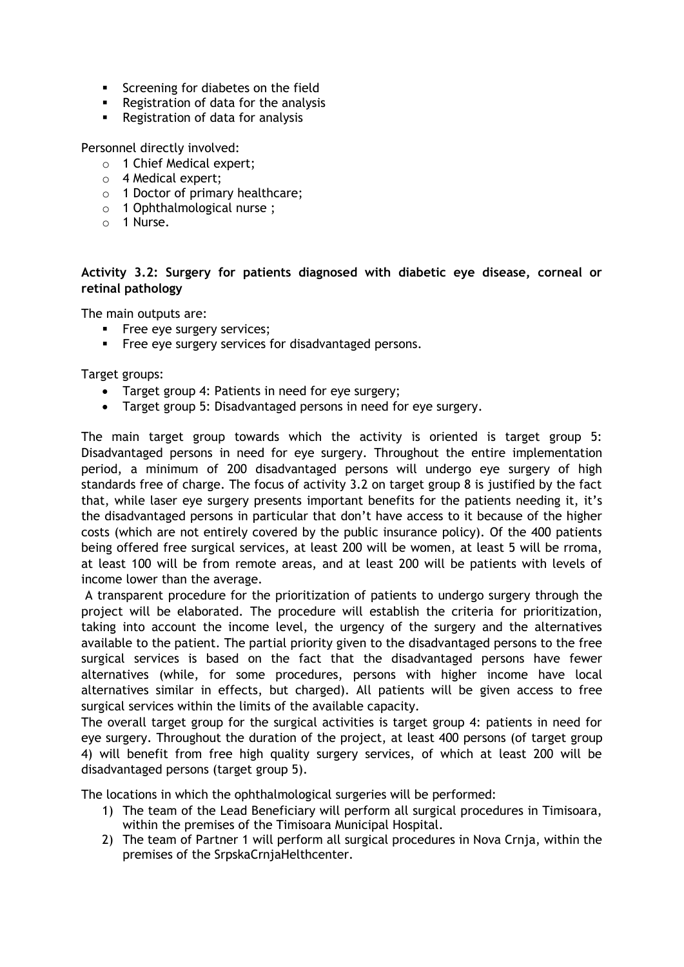- **Screening for diabetes on the field**
- **Registration of data for the analysis**
- **Registration of data for analysis**

Personnel directly involved:

- o 1 Chief Medical expert;
- o 4 Medical expert;
- o 1 Doctor of primary healthcare;
- o 1 Ophthalmological nurse ;
- o 1 Nurse.

## **Activity 3.2: Surgery for patients diagnosed with diabetic eye disease, corneal or retinal pathology**

The main outputs are:

- **Filter** Free eye surgery services;
- **Figure 1** Free eye surgery services for disadvantaged persons.

Target groups:

- Target group 4: Patients in need for eye surgery;
- Target group 5: Disadvantaged persons in need for eye surgery.

The main target group towards which the activity is oriented is target group 5: Disadvantaged persons in need for eye surgery. Throughout the entire implementation period, a minimum of 200 disadvantaged persons will undergo eye surgery of high standards free of charge. The focus of activity 3.2 on target group 8 is justified by the fact that, while laser eye surgery presents important benefits for the patients needing it, it's the disadvantaged persons in particular that don't have access to it because of the higher costs (which are not entirely covered by the public insurance policy). Of the 400 patients being offered free surgical services, at least 200 will be women, at least 5 will be rroma, at least 100 will be from remote areas, and at least 200 will be patients with levels of income lower than the average.

A transparent procedure for the prioritization of patients to undergo surgery through the project will be elaborated. The procedure will establish the criteria for prioritization, taking into account the income level, the urgency of the surgery and the alternatives available to the patient. The partial priority given to the disadvantaged persons to the free surgical services is based on the fact that the disadvantaged persons have fewer alternatives (while, for some procedures, persons with higher income have local alternatives similar in effects, but charged). All patients will be given access to free surgical services within the limits of the available capacity.

The overall target group for the surgical activities is target group 4: patients in need for eye surgery. Throughout the duration of the project, at least 400 persons (of target group 4) will benefit from free high quality surgery services, of which at least 200 will be disadvantaged persons (target group 5).

The locations in which the ophthalmological surgeries will be performed:

- 1) The team of the Lead Beneficiary will perform all surgical procedures in Timisoara, within the premises of the Timisoara Municipal Hospital.
- 2) The team of Partner 1 will perform all surgical procedures in Nova Crnja, within the premises of the SrpskaCrnjaHelthcenter.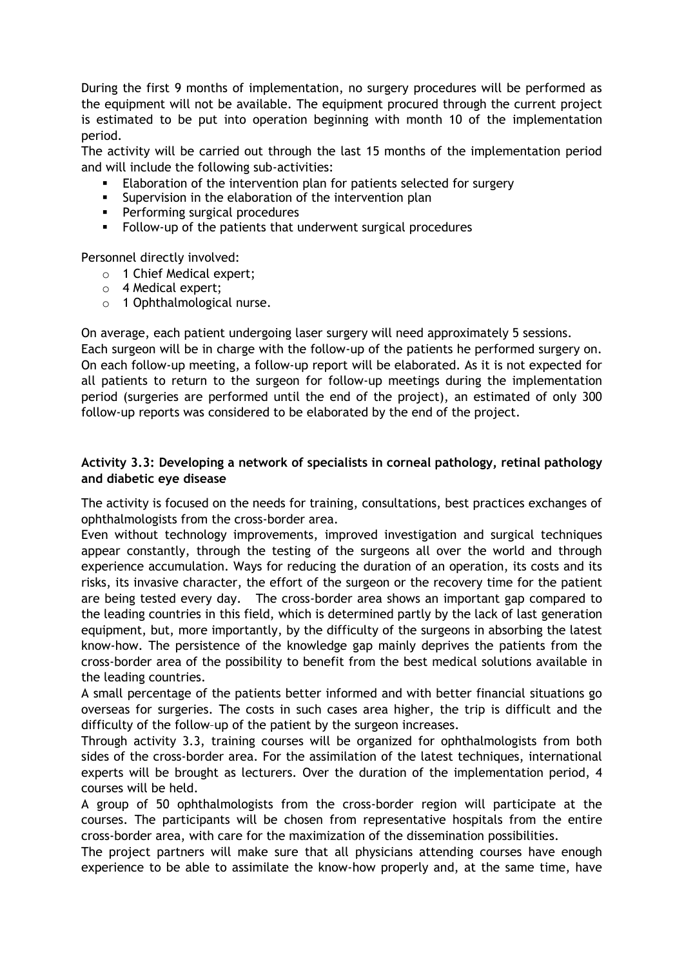During the first 9 months of implementation, no surgery procedures will be performed as the equipment will not be available. The equipment procured through the current project is estimated to be put into operation beginning with month 10 of the implementation period.

The activity will be carried out through the last 15 months of the implementation period and will include the following sub-activities:

- Elaboration of the intervention plan for patients selected for surgery
- **Supervision in the elaboration of the intervention plan**
- **Performing surgical procedures**
- Follow-up of the patients that underwent surgical procedures

Personnel directly involved:

- o 1 Chief Medical expert;
- o 4 Medical expert;
- o 1 Ophthalmological nurse.

On average, each patient undergoing laser surgery will need approximately 5 sessions.

Each surgeon will be in charge with the follow-up of the patients he performed surgery on. On each follow-up meeting, a follow-up report will be elaborated. As it is not expected for all patients to return to the surgeon for follow-up meetings during the implementation period (surgeries are performed until the end of the project), an estimated of only 300 follow-up reports was considered to be elaborated by the end of the project.

## **Activity 3.3: Developing a network of specialists in corneal pathology, retinal pathology and diabetic eye disease**

The activity is focused on the needs for training, consultations, best practices exchanges of ophthalmologists from the cross-border area.

Even without technology improvements, improved investigation and surgical techniques appear constantly, through the testing of the surgeons all over the world and through experience accumulation. Ways for reducing the duration of an operation, its costs and its risks, its invasive character, the effort of the surgeon or the recovery time for the patient are being tested every day. The cross-border area shows an important gap compared to the leading countries in this field, which is determined partly by the lack of last generation equipment, but, more importantly, by the difficulty of the surgeons in absorbing the latest know-how. The persistence of the knowledge gap mainly deprives the patients from the cross-border area of the possibility to benefit from the best medical solutions available in the leading countries.

A small percentage of the patients better informed and with better financial situations go overseas for surgeries. The costs in such cases area higher, the trip is difficult and the difficulty of the follow–up of the patient by the surgeon increases.

Through activity 3.3, training courses will be organized for ophthalmologists from both sides of the cross-border area. For the assimilation of the latest techniques, international experts will be brought as lecturers. Over the duration of the implementation period, 4 courses will be held.

A group of 50 ophthalmologists from the cross-border region will participate at the courses. The participants will be chosen from representative hospitals from the entire cross-border area, with care for the maximization of the dissemination possibilities.

The project partners will make sure that all physicians attending courses have enough experience to be able to assimilate the know-how properly and, at the same time, have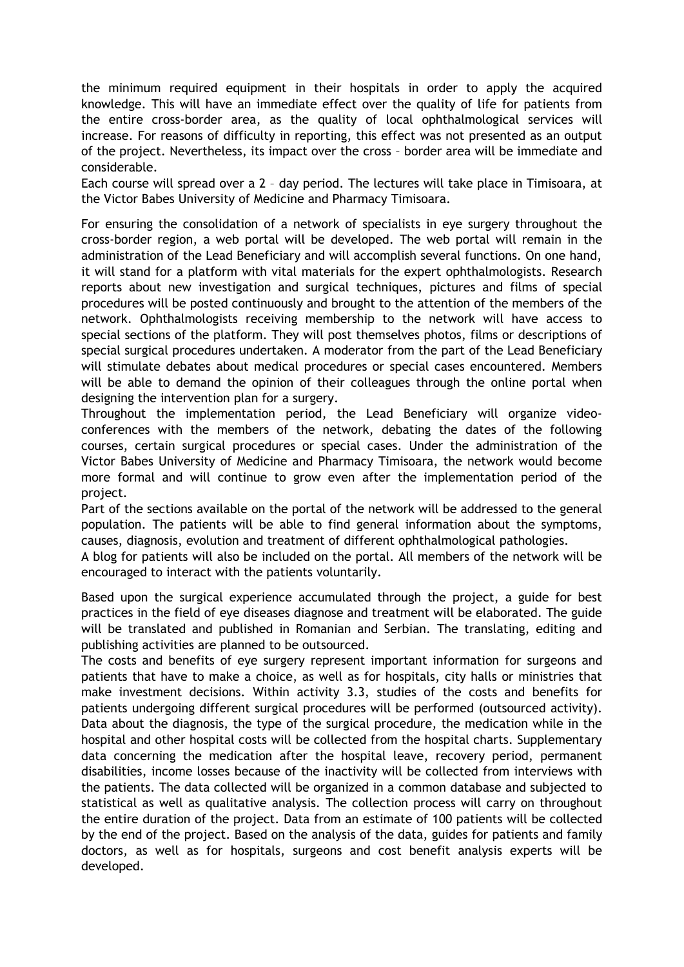the minimum required equipment in their hospitals in order to apply the acquired knowledge. This will have an immediate effect over the quality of life for patients from the entire cross-border area, as the quality of local ophthalmological services will increase. For reasons of difficulty in reporting, this effect was not presented as an output of the project. Nevertheless, its impact over the cross – border area will be immediate and considerable.

Each course will spread over a 2 – day period. The lectures will take place in Timisoara, at the Victor Babes University of Medicine and Pharmacy Timisoara.

For ensuring the consolidation of a network of specialists in eye surgery throughout the cross-border region, a web portal will be developed. The web portal will remain in the administration of the Lead Beneficiary and will accomplish several functions. On one hand, it will stand for a platform with vital materials for the expert ophthalmologists. Research reports about new investigation and surgical techniques, pictures and films of special procedures will be posted continuously and brought to the attention of the members of the network. Ophthalmologists receiving membership to the network will have access to special sections of the platform. They will post themselves photos, films or descriptions of special surgical procedures undertaken. A moderator from the part of the Lead Beneficiary will stimulate debates about medical procedures or special cases encountered. Members will be able to demand the opinion of their colleagues through the online portal when designing the intervention plan for a surgery.

Throughout the implementation period, the Lead Beneficiary will organize videoconferences with the members of the network, debating the dates of the following courses, certain surgical procedures or special cases. Under the administration of the Victor Babes University of Medicine and Pharmacy Timisoara, the network would become more formal and will continue to grow even after the implementation period of the project.

Part of the sections available on the portal of the network will be addressed to the general population. The patients will be able to find general information about the symptoms, causes, diagnosis, evolution and treatment of different ophthalmological pathologies.

A blog for patients will also be included on the portal. All members of the network will be encouraged to interact with the patients voluntarily.

Based upon the surgical experience accumulated through the project, a guide for best practices in the field of eye diseases diagnose and treatment will be elaborated. The guide will be translated and published in Romanian and Serbian. The translating, editing and publishing activities are planned to be outsourced.

The costs and benefits of eye surgery represent important information for surgeons and patients that have to make a choice, as well as for hospitals, city halls or ministries that make investment decisions. Within activity 3.3, studies of the costs and benefits for patients undergoing different surgical procedures will be performed (outsourced activity). Data about the diagnosis, the type of the surgical procedure, the medication while in the hospital and other hospital costs will be collected from the hospital charts. Supplementary data concerning the medication after the hospital leave, recovery period, permanent disabilities, income losses because of the inactivity will be collected from interviews with the patients. The data collected will be organized in a common database and subjected to statistical as well as qualitative analysis. The collection process will carry on throughout the entire duration of the project. Data from an estimate of 100 patients will be collected by the end of the project. Based on the analysis of the data, guides for patients and family doctors, as well as for hospitals, surgeons and cost benefit analysis experts will be developed.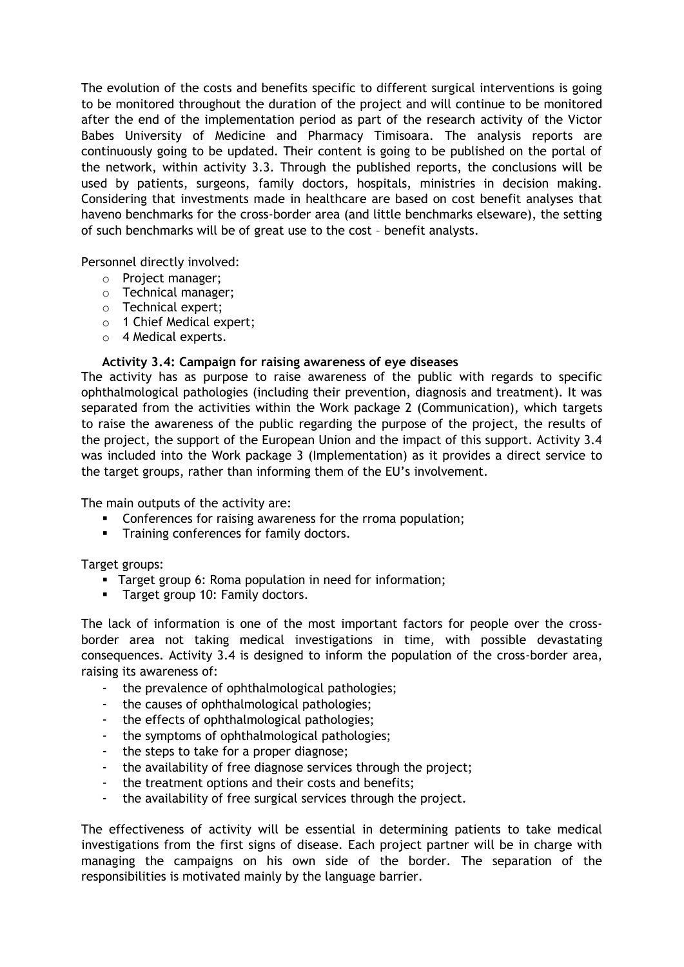The evolution of the costs and benefits specific to different surgical interventions is going to be monitored throughout the duration of the project and will continue to be monitored after the end of the implementation period as part of the research activity of the Victor Babes University of Medicine and Pharmacy Timisoara. The analysis reports are continuously going to be updated. Their content is going to be published on the portal of the network, within activity 3.3. Through the published reports, the conclusions will be used by patients, surgeons, family doctors, hospitals, ministries in decision making. Considering that investments made in healthcare are based on cost benefit analyses that haveno benchmarks for the cross-border area (and little benchmarks elseware), the setting of such benchmarks will be of great use to the cost – benefit analysts.

Personnel directly involved:

- o Project manager;
- o Technical manager;
- o Technical expert;
- o 1 Chief Medical expert;
- o 4 Medical experts.

#### **Activity 3.4: Campaign for raising awareness of eye diseases**

The activity has as purpose to raise awareness of the public with regards to specific ophthalmological pathologies (including their prevention, diagnosis and treatment). It was separated from the activities within the Work package 2 (Communication), which targets to raise the awareness of the public regarding the purpose of the project, the results of the project, the support of the European Union and the impact of this support. Activity 3.4 was included into the Work package 3 (Implementation) as it provides a direct service to the target groups, rather than informing them of the EU's involvement.

The main outputs of the activity are:

- **Conferences for raising awareness for the rroma population;**
- **Training conferences for family doctors.**

Target groups:

- **Target group 6: Roma population in need for information;**
- **Target group 10: Family doctors.**

The lack of information is one of the most important factors for people over the crossborder area not taking medical investigations in time, with possible devastating consequences. Activity 3.4 is designed to inform the population of the cross-border area, raising its awareness of:

- the prevalence of ophthalmological pathologies;
- the causes of ophthalmological pathologies;
- the effects of ophthalmological pathologies;
- the symptoms of ophthalmological pathologies;
- the steps to take for a proper diagnose;
- the availability of free diagnose services through the project;
- the treatment options and their costs and benefits;
- the availability of free surgical services through the project.

The effectiveness of activity will be essential in determining patients to take medical investigations from the first signs of disease. Each project partner will be in charge with managing the campaigns on his own side of the border. The separation of the responsibilities is motivated mainly by the language barrier.